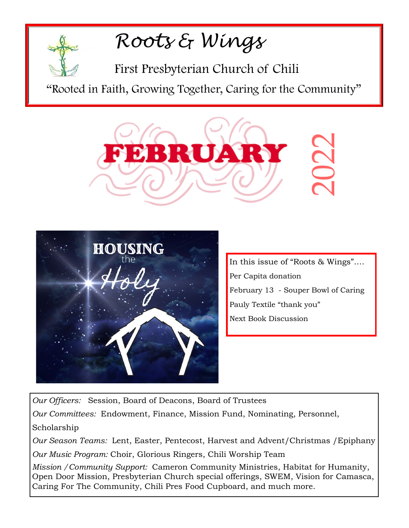## *Roots & Wings*

First Presbyterian Church of Chili

"Rooted in Faith, Growing Together, Caring for the Community"





In this issue of "Roots & Wings"…. Per Capita donation February 13 - Souper Bowl of Caring Pauly Textile "thank you" Next Book Discussion

*Our Officers:* Session, Board of Deacons, Board of Trustees *Our Committees:* Endowment, Finance, Mission Fund, Nominating, Personnel, Scholarship *Our Season Teams:* Lent, Easter, Pentecost, Harvest and Advent/Christmas /Epiphany

*Our Music Program:* Choir, Glorious Ringers, Chili Worship Team

*Mission /Community Support:* Cameron Community Ministries, Habitat for Humanity, Open Door Mission, Presbyterian Church special offerings, SWEM, Vision for Camasca,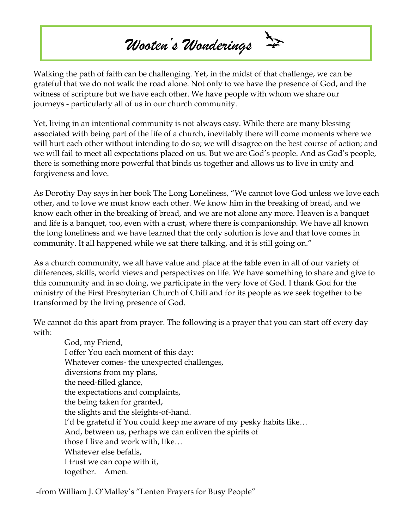# *Wooten's Wonderings*

Walking the path of faith can be challenging. Yet, in the midst of that challenge, we can be grateful that we do not walk the road alone. Not only to we have the presence of God, and the witness of scripture but we have each other. We have people with whom we share our journeys - particularly all of us in our church community.

Yet, living in an intentional community is not always easy. While there are many blessing associated with being part of the life of a church, inevitably there will come moments where we will hurt each other without intending to do so; we will disagree on the best course of action; and we will fail to meet all expectations placed on us. But we are God's people. And as God's people, there is something more powerful that binds us together and allows us to live in unity and forgiveness and love.

As Dorothy Day says in her book The Long Loneliness, "We cannot love God unless we love each other, and to love we must know each other. We know him in the breaking of bread, and we know each other in the breaking of bread, and we are not alone any more. Heaven is a banquet and life is a banquet, too, even with a crust, where there is companionship. We have all known the long loneliness and we have learned that the only solution is love and that love comes in community. It all happened while we sat there talking, and it is still going on."

As a church community, we all have value and place at the table even in all of our variety of differences, skills, world views and perspectives on life. We have something to share and give to this community and in so doing, we participate in the very love of God. I thank God for the ministry of the First Presbyterian Church of Chili and for its people as we seek together to be transformed by the living presence of God.

We cannot do this apart from prayer. The following is a prayer that you can start off every day with:

God, my Friend, I offer You each moment of this day: Whatever comes- the unexpected challenges, diversions from my plans, the need-filled glance, the expectations and complaints, the being taken for granted, the slights and the sleights-of-hand. I'd be grateful if You could keep me aware of my pesky habits like… And, between us, perhaps we can enliven the spirits of those I live and work with, like… Whatever else befalls, I trust we can cope with it, together. Amen.

-from William J. O'Malley's "Lenten Prayers for Busy People"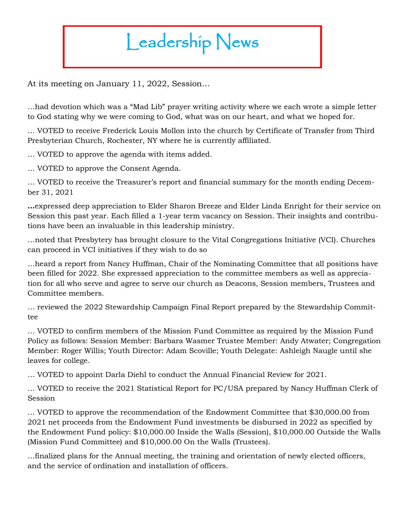# Leadership News

At its meeting on January 11, 2022, Session…

…had devotion which was a "Mad Lib" prayer writing activity where we each wrote a simple letter to God stating why we were coming to God, what was on our heart, and what we hoped for.

… VOTED to receive Frederick Louis Mollon into the church by Certificate of Transfer from Third Presbyterian Church, Rochester, NY where he is currently affiliated.

… VOTED to approve the agenda with items added.

… VOTED to approve the Consent Agenda.

… VOTED to receive the Treasurer's report and financial summary for the month ending December 31, 2021

**…**expressed deep appreciation to Elder Sharon Breeze and Elder Linda Enright for their service on Session this past year. Each filled a 1-year term vacancy on Session. Their insights and contributions have been an invaluable in this leadership ministry.

…noted that Presbytery has brought closure to the Vital Congregations Initiative (VCI). Churches can proceed in VCI initiatives if they wish to do so

…heard a report from Nancy Huffman, Chair of the Nominating Committee that all positions have been filled for 2022. She expressed appreciation to the committee members as well as appreciation for all who serve and agree to serve our church as Deacons, Session members, Trustees and Committee members.

… reviewed the 2022 Stewardship Campaign Final Report prepared by the Stewardship Committee

… VOTED to confirm members of the Mission Fund Committee as required by the Mission Fund Policy as follows: Session Member: Barbara Wasmer Trustee Member: Andy Atwater; Congregation Member: Roger Willis; Youth Director: Adam Scoville; Youth Delegate: Ashleigh Naugle until she leaves for college.

… VOTED to appoint Darla Diehl to conduct the Annual Financial Review for 2021.

… VOTED to receive the 2021 Statistical Report for PC/USA prepared by Nancy Huffman Clerk of Session

… VOTED to approve the recommendation of the Endowment Committee that \$30,000.00 from 2021 net proceeds from the Endowment Fund investments be disbursed in 2022 as specified by the Endowment Fund policy: \$10,000.00 Inside the Walls (Session), \$10,000.00 Outside the Walls (Mission Fund Committee) and \$10,000.00 On the Walls (Trustees).

…finalized plans for the Annual meeting, the training and orientation of newly elected officers, and the service of ordination and installation of officers.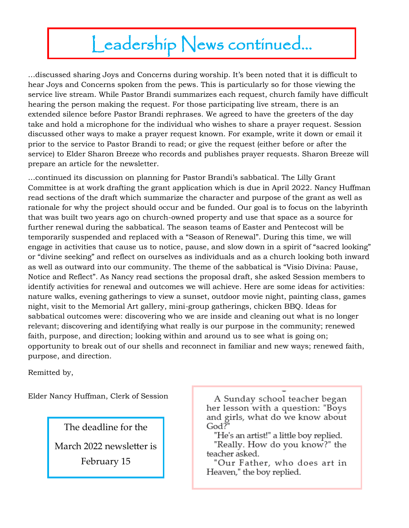### Leadership News continued...

…discussed sharing Joys and Concerns during worship. It's been noted that it is difficult to hear Joys and Concerns spoken from the pews. This is particularly so for those viewing the service live stream. While Pastor Brandi summarizes each request, church family have difficult hearing the person making the request. For those participating live stream, there is an extended silence before Pastor Brandi rephrases. We agreed to have the greeters of the day take and hold a microphone for the individual who wishes to share a prayer request. Session discussed other ways to make a prayer request known. For example, write it down or email it prior to the service to Pastor Brandi to read; or give the request (either before or after the service) to Elder Sharon Breeze who records and publishes prayer requests. Sharon Breeze will prepare an article for the newsletter.

…continued its discussion on planning for Pastor Brandi's sabbatical. The Lilly Grant Committee is at work drafting the grant application which is due in April 2022. Nancy Huffman read sections of the draft which summarize the character and purpose of the grant as well as rationale for why the project should occur and be funded. Our goal is to focus on the labyrinth that was built two years ago on church-owned property and use that space as a source for further renewal during the sabbatical. The season teams of Easter and Pentecost will be temporarily suspended and replaced with a "Season of Renewal". During this time, we will engage in activities that cause us to notice, pause, and slow down in a spirit of "sacred looking" or "divine seeking" and reflect on ourselves as individuals and as a church looking both inward as well as outward into our community. The theme of the sabbatical is "Visio Divina: Pause, Notice and Reflect". As Nancy read sections the proposal draft, she asked Session members to identify activities for renewal and outcomes we will achieve. Here are some ideas for activities: nature walks, evening gatherings to view a sunset, outdoor movie night, painting class, games night, visit to the Memorial Art gallery, mini-group gatherings, chicken BBQ. Ideas for sabbatical outcomes were: discovering who we are inside and cleaning out what is no longer relevant; discovering and identifying what really is our purpose in the community; renewed faith, purpose, and direction; looking within and around us to see what is going on; opportunity to break out of our shells and reconnect in familiar and new ways; renewed faith, purpose, and direction.

Remitted by,

Elder Nancy Huffman, Clerk of Session

The deadline for the March 2022 newsletter is February 15

A Sunday school teacher began her lesson with a question: "Boys and girls, what do we know about God?"

"He's an artist!" a little boy replied.

"Really. How do you know?" the teacher asked.

"Our Father, who does art in Heaven," the boy replied.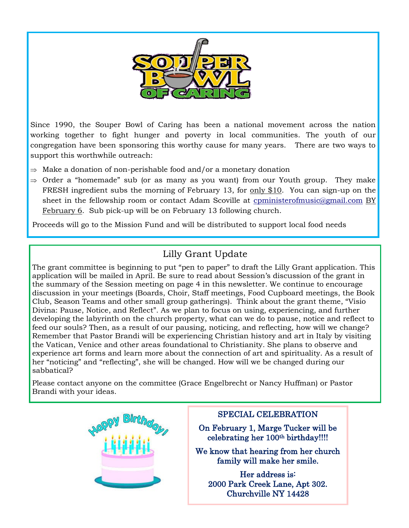

Since 1990, the Souper Bowl of Caring has been a national movement across the nation working together to fight hunger and poverty in local communities. The youth of our congregation have been sponsoring this worthy cause for many years. There are two ways to support this worthwhile outreach:

- $\Rightarrow$  Make a donation of non-perishable food and/or a monetary donation
- $\Rightarrow$  Order a "homemade" sub (or as many as you want) from our Youth group. They make FRESH ingredient subs the morning of February 13, for only \$10. You can sign-up on the sheet in the fellowship room or contact Adam Scoville at [cpministerofmusic@gmail.com](mailto:cpministerofmusic@gmail.com) BY February 6. Sub pick-up will be on February 13 following church.

Proceeds will go to the Mission Fund and will be distributed to support local food needs

#### Lilly Grant Update

The grant committee is beginning to put "pen to paper" to draft the Lilly Grant application. This application will be mailed in April. Be sure to read about Session's discussion of the grant in the summary of the Session meeting on page 4 in this newsletter. We continue to encourage discussion in your meetings (Boards, Choir, Staff meetings, Food Cupboard meetings, the Book Club, Season Teams and other small group gatherings). Think about the grant theme, "Visio Divina: Pause, Notice, and Reflect". As we plan to focus on using, experiencing, and further developing the labyrinth on the church property, what can we do to pause, notice and reflect to feed our souls? Then, as a result of our pausing, noticing, and reflecting, how will we change? Remember that Pastor Brandi will be experiencing Christian history and art in Italy by visiting the Vatican, Venice and other areas foundational to Christianity. She plans to observe and experience art forms and learn more about the connection of art and spirituality. As a result of her "noticing" and "reflecting", she will be changed. How will we be changed during our sabbatical?

Please contact anyone on the committee (Grace Engelbrecht or Nancy Huffman) or Pastor Brandi with your ideas.



#### SPECIAL CELEBRATION

On February 1, Marge Tucker will be celebrating her 100th birthday!!!!

We know that hearing from her church family will make her smile.

Her address is: 2000 Park Creek Lane, Apt 302. Churchville NY 14428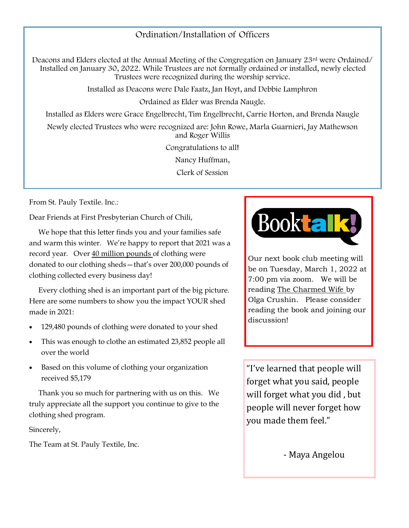#### Ordination/Installation of Officers

Deacons and Elders elected at the Annual Meeting of the Congregation on January 23rd were Ordained/ Installed on January 30, 2022. While Trustees are not formally ordained or installed, newly elected Trustees were recognized during the worship service.

Installed as Deacons were Dale Faatz, Jan Hoyt, and Debbie Lamphron

Ordained as Elder was Brenda Naugle.

Installed as Elders were Grace Engelbrecht, Tim Engelbrecht, Carrie Horton, and Brenda Naugle

Newly elected Trustees who were recognized are: John Rowe, Marla Guarnieri, Jay Mathewson and Roger Willis

Congratulations to all!

Nancy Huffman,

Clerk of Session

From St. Pauly Textile. Inc.:

Dear Friends at First Presbyterian Church of Chili,

 We hope that this letter finds you and your families safe and warm this winter. We're happy to report that 2021 was a record year. Over 40 million pounds of clothing were donated to our clothing sheds—that's over 200,000 pounds of clothing collected every business day!

 Every clothing shed is an important part of the big picture. Here are some numbers to show you the impact YOUR shed made in 2021:

- 129,480 pounds of clothing were donated to your shed
- This was enough to clothe an estimated 23,852 people all over the world
- Based on this volume of clothing your organization received \$5,179

 Thank you so much for partnering with us on this. We truly appreciate all the support you continue to give to the clothing shed program.

Sincerely,

The Team at St. Pauly Textile, Inc.



Our next book club meeting will be on Tuesday, March 1, 2022 at 7:00 pm via zoom. We will be reading The Charmed Wife by Olga Crushin. Please consider reading the book and joining our discussion!

"I've learned that people will forget what you said, people will forget what you did , but people will never forget how you made them feel."

- Maya Angelou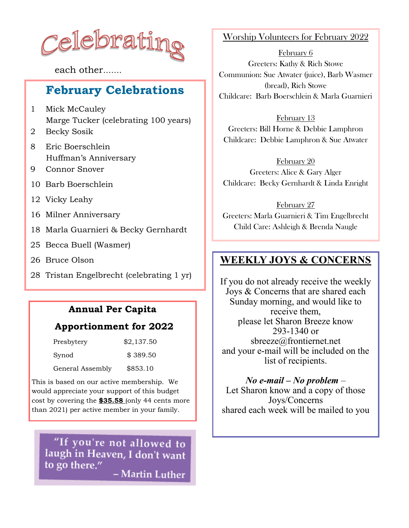

each other…….

#### **February Celebrations**

- 1 Mick McCauley Marge Tucker (celebrating 100 years)
- 2 Becky Sosik
- 8 Eric Boerschlein Huffman's Anniversary
- 9 Connor Snover
- 10 Barb Boerschlein
- 12 Vicky Leahy
- 16 Milner Anniversary
- 18 Marla Guarnieri & Becky Gernhardt
- 25 Becca Buell (Wasmer)
- 26 Bruce Olson
- 28 Tristan Engelbrecht (celebrating 1 yr)

#### **Annual Per Capita**

#### **Apportionment for 2022**

| Presbytery       | \$2,137.50 |
|------------------|------------|
| Synod            | \$389.50   |
| General Assembly | \$853.10   |

This is based on our active membership. We would appreciate your support of this budget cost by covering the **\$35.58** (only 44 cents more than 2021) per active member in your family.

"If you're not allowed to laugh in Heaven, I don't want to go there." - Martin Luther

Worship Volunteers for February 2022

February 6 Greeters: Kathy & Rich Stowe Communion: Sue Atwater (juice), Barb Wasmer (bread), Rich Stowe Childcare: Barb Boerschlein & Marla Guarnieri

February 13 Greeters: Bill Horne & Debbie Lamphron Childcare: Debbie Lamphron & Sue Atwater

February 20 Greeters: Alice & Gary Alger Childcare: Becky Gernhardt & Linda Enright

February 27 Greeters: Marla Guarnieri & Tim Engelbrecht Child Care: Ashleigh & Brenda Naugle

#### **WEEKLY JOYS & CONCERNS**

If you do not already receive the weekly Joys & Concerns that are shared each Sunday morning, and would like to receive them, please let Sharon Breeze know 293-1340 or [sbreeze@frontiernet.net](mailto:sbreeze@frontiernet.net) and your e-mail will be included on the list of recipients.

*No e-mail – No problem* – Let Sharon know and a copy of those Joys/Concerns shared each week will be mailed to you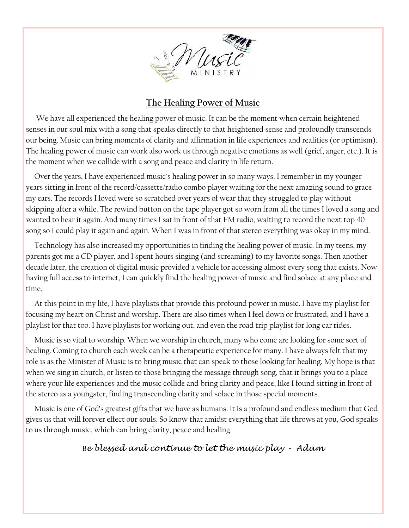

#### **The Healing Power of Music**

 We have all experienced the healing power of music. It can be the moment when certain heightened senses in our soul mix with a song that speaks directly to that heightened sense and profoundly transcends our being. Music can bring moments of clarity and affirmation in life experiences and realities (or optimism). The healing power of music can work also work us through negative emotions as well (grief, anger, etc.). It is the moment when we collide with a song and peace and clarity in life return.

 Over the years, I have experienced music's healing power in so many ways. I remember in my younger years sitting in front of the record/cassette/radio combo player waiting for the next amazing sound to grace my ears. The records I loved were so scratched over years of wear that they struggled to play without skipping after a while. The rewind button on the tape player got so worn from all the times I loved a song and wanted to hear it again. And many times I sat in front of that FM radio, waiting to record the next top 40 song so I could play it again and again. When I was in front of that stereo everything was okay in my mind.

 Technology has also increased my opportunities in finding the healing power of music. In my teens, my parents got me a CD player, and I spent hours singing (and screaming) to my favorite songs. Then another decade later, the creation of digital music provided a vehicle for accessing almost every song that exists. Now having full access to internet, I can quickly find the healing power of music and find solace at any place and time.

 At this point in my life, I have playlists that provide this profound power in music. I have my playlist for focusing my heart on Christ and worship. There are also times when I feel down or frustrated, and I have a playlist for that too. I have playlists for working out, and even the road trip playlist for long car rides.

 Music is so vital to worship. When we worship in church, many who come are looking for some sort of healing. Coming to church each week can be a therapeutic experience for many. I have always felt that my role is as the Minister of Music is to bring music that can speak to those looking for healing. My hope is that when we sing in church, or listen to those bringing the message through song, that it brings you to a place where your life experiences and the music collide and bring clarity and peace, like I found sitting in front of the stereo as a youngster, finding transcending clarity and solace in those special moments.

 Music is one of God's greatest gifts that we have as humans. It is a profound and endless medium that God gives us that will forever effect our souls. So know that amidst everything that life throws at you, God speaks to us through music, which can bring clarity, peace and healing.

#### B*e blessed and continue to let the music play - Adam*